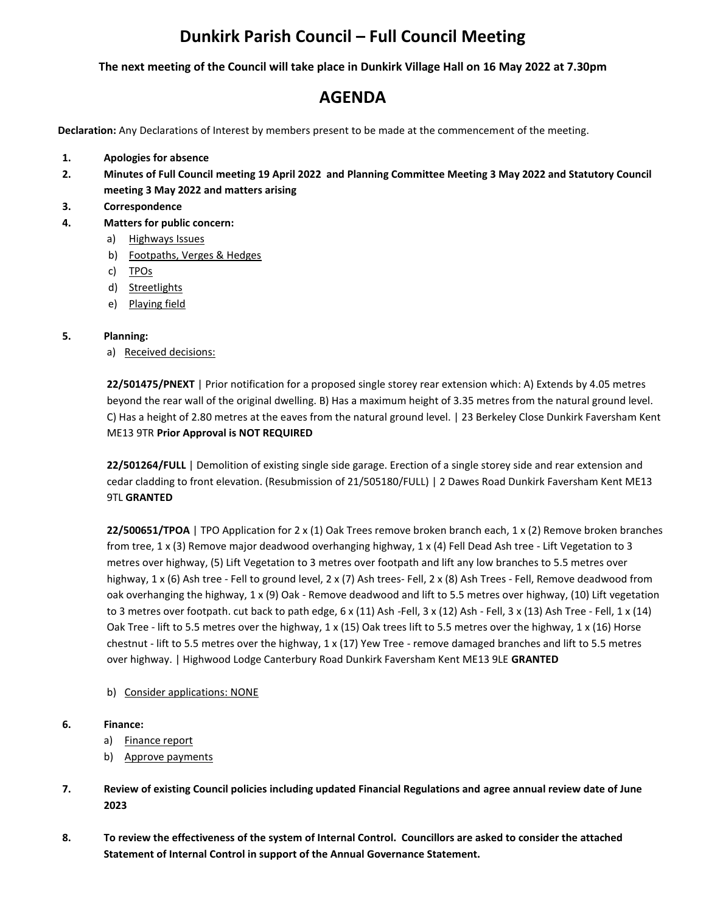## **Dunkirk Parish Council – Full Council Meeting**

**The next meeting of the Council will take place in Dunkirk Village Hall on 16 May 2022 at 7.30pm**

## **AGENDA**

**Declaration:** Any Declarations of Interest by members present to be made at the commencement of the meeting.

- **1. Apologies for absence**
- **2. Minutes of Full Council meeting 19 April 2022 and Planning Committee Meeting 3 May 2022 and Statutory Council meeting 3 May 2022 and matters arising**
- **3. Correspondence**
- **4. Matters for public concern:**
	- a) Highways Issues
	- b) Footpaths, Verges & Hedges
	- c) TPOs
	- d) Streetlights
	- e) Playing field

## **5. Planning:**

a) Received decisions:

**22/501475/PNEXT** | Prior notification for a proposed single storey rear extension which: A) Extends by 4.05 metres beyond the rear wall of the original dwelling. B) Has a maximum height of 3.35 metres from the natural ground level. C) Has a height of 2.80 metres at the eaves from the natural ground level. | 23 Berkeley Close Dunkirk Faversham Kent ME13 9TR **Prior Approval is NOT REQUIRED**

**22/501264/FULL** | Demolition of existing single side garage. Erection of a single storey side and rear extension and cedar cladding to front elevation. (Resubmission of 21/505180/FULL) | 2 Dawes Road Dunkirk Faversham Kent ME13 9TL **GRANTED**

**22/500651/TPOA** | TPO Application for 2 x (1) Oak Trees remove broken branch each, 1 x (2) Remove broken branches from tree, 1 x (3) Remove major deadwood overhanging highway, 1 x (4) Fell Dead Ash tree - Lift Vegetation to 3 metres over highway, (5) Lift Vegetation to 3 metres over footpath and lift any low branches to 5.5 metres over highway, 1 x (6) Ash tree - Fell to ground level, 2 x (7) Ash trees- Fell, 2 x (8) Ash Trees - Fell, Remove deadwood from oak overhanging the highway, 1 x (9) Oak - Remove deadwood and lift to 5.5 metres over highway, (10) Lift vegetation to 3 metres over footpath. cut back to path edge,  $6 \times (11)$  Ash -Fell,  $3 \times (12)$  Ash -Fell,  $3 \times (13)$  Ash Tree - Fell,  $1 \times (14)$ Oak Tree - lift to 5.5 metres over the highway, 1 x (15) Oak trees lift to 5.5 metres over the highway, 1 x (16) Horse chestnut - lift to 5.5 metres over the highway, 1 x (17) Yew Tree - remove damaged branches and lift to 5.5 metres over highway. | Highwood Lodge Canterbury Road Dunkirk Faversham Kent ME13 9LE **GRANTED**

- b) Consider applications: NONE
- **6. Finance:** 
	- a) Finance report
	- b) Approve payments
- **7. Review of existing Council policies including updated Financial Regulations and agree annual review date of June 2023**
- **8. To review the effectiveness of the system of Internal Control. Councillors are asked to consider the attached Statement of Internal Control in support of the Annual Governance Statement.**